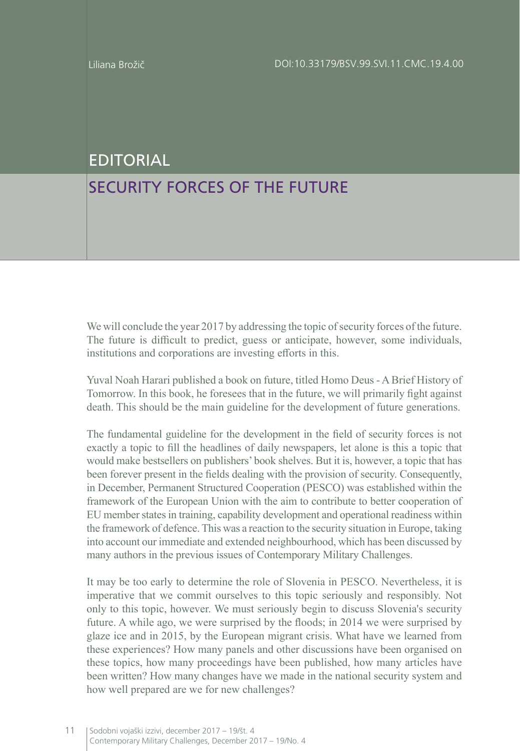## EDITORIAL

## SECURITY FORCES OF THE FUTURE

We will conclude the year 2017 by addressing the topic of security forces of the future. The future is difficult to predict, guess or anticipate, however, some individuals, institutions and corporations are investing efforts in this.

Yuval Noah Harari published a book on future, titled Homo Deus - A Brief History of Tomorrow. In this book, he foresees that in the future, we will primarily fight against death. This should be the main guideline for the development of future generations.

The fundamental guideline for the development in the field of security forces is not exactly a topic to fill the headlines of daily newspapers, let alone is this a topic that would make bestsellers on publishers' book shelves. But it is, however, a topic that has been forever present in the fields dealing with the provision of security. Consequently, in December, Permanent Structured Cooperation (PESCO) was established within the framework of the European Union with the aim to contribute to better cooperation of EU member states in training, capability development and operational readiness within the framework of defence. This was a reaction to the security situation in Europe, taking into account our immediate and extended neighbourhood, which has been discussed by many authors in the previous issues of Contemporary Military Challenges.

It may be too early to determine the role of Slovenia in PESCO. Nevertheless, it is imperative that we commit ourselves to this topic seriously and responsibly. Not only to this topic, however. We must seriously begin to discuss Slovenia's security future. A while ago, we were surprised by the floods; in 2014 we were surprised by glaze ice and in 2015, by the European migrant crisis. What have we learned from these experiences? How many panels and other discussions have been organised on these topics, how many proceedings have been published, how many articles have been written? How many changes have we made in the national security system and how well prepared are we for new challenges?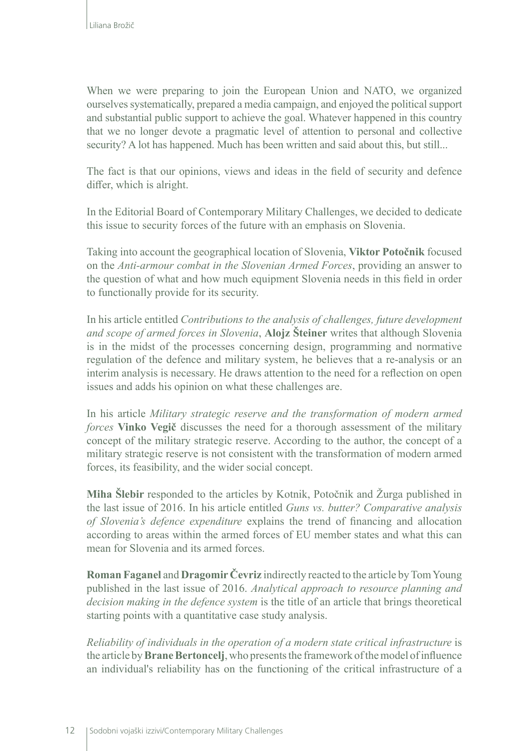When we were preparing to join the European Union and NATO, we organized ourselves systematically, prepared a media campaign, and enjoyed the political support and substantial public support to achieve the goal. Whatever happened in this country that we no longer devote a pragmatic level of attention to personal and collective security? A lot has happened. Much has been written and said about this, but still...

The fact is that our opinions, views and ideas in the field of security and defence differ, which is alright.

In the Editorial Board of Contemporary Military Challenges, we decided to dedicate this issue to security forces of the future with an emphasis on Slovenia.

Taking into account the geographical location of Slovenia, **Viktor Potočnik** focused on the *Anti-armour combat in the Slovenian Armed Forces*, providing an answer to the question of what and how much equipment Slovenia needs in this field in order to functionally provide for its security.

In his article entitled *Contributions to the analysis of challenges, future development and scope of armed forces in Slovenia*, **Alojz Šteiner** writes that although Slovenia is in the midst of the processes concerning design, programming and normative regulation of the defence and military system, he believes that a re-analysis or an interim analysis is necessary. He draws attention to the need for a reflection on open issues and adds his opinion on what these challenges are.

In his article *Military strategic reserve and the transformation of modern armed forces* **Vinko Vegič** discusses the need for a thorough assessment of the military concept of the military strategic reserve. According to the author, the concept of a military strategic reserve is not consistent with the transformation of modern armed forces, its feasibility, and the wider social concept.

**Miha Šlebir** responded to the articles by Kotnik, Potočnik and Žurga published in the last issue of 2016. In his article entitled *Guns vs. butter? Comparative analysis of Slovenia's defence expenditure* explains the trend of financing and allocation according to areas within the armed forces of EU member states and what this can mean for Slovenia and its armed forces.

**Roman Faganel** and **Dragomir Čevriz** indirectly reacted to the article by Tom Young published in the last issue of 2016. *Analytical approach to resource planning and decision making in the defence system* is the title of an article that brings theoretical starting points with a quantitative case study analysis.

*Reliability of individuals in the operation of a modern state critical infrastructure* is the article by **Brane Bertoncelj**, who presents the framework of the model of influence an individual's reliability has on the functioning of the critical infrastructure of a